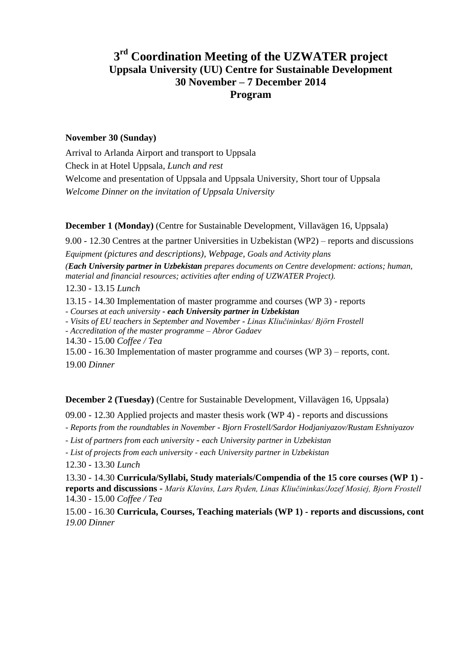# **3 rd Coordination Meeting of the UZWATER project Uppsala University (UU) Centre for Sustainable Development 30 November – 7 December 2014 Program**

#### **November 30 (Sunday)**

Arrival to Arlanda Airport and transport to Uppsala Check in at Hotel Uppsala, *Lunch and rest* Welcome and presentation of Uppsala and Uppsala University, Short tour of Uppsala *Welcome Dinner on the invitation of Uppsala University*

**December 1 (Monday)** (Centre for Sustainable Development, Villavägen 16, Uppsala)

9.00 - 12.30 Centres at the partner Universities in Uzbekistan (WP2) – reports and discussions *Equipment (pictures and descriptions), Webpage, Goals and Activity plans (Each University partner in Uzbekistan prepares documents on Centre development: actions; human, material and financial resources; activities after ending of UZWATER Project).*

12.30 - 13.15 *Lunch*

13.15 - 14.30 Implementation of master programme and courses (WP 3) - reports

*- Courses at each university - each University partner in Uzbekistan*

*- Visits of EU teachers in September and November - Linas Kliučininkas/ Björn Frostell*

*- Accreditation of the master programme – Abror Gadaev*

14.30 - 15.00 *Coffee / Tea*

15.00 - 16.30 Implementation of master programme and courses (WP 3) – reports, cont. 19.00 *Dinner*

**December 2 (Tuesday)** (Centre for Sustainable Development, Villavägen 16, Uppsala)

09.00 - 12.30 Applied projects and master thesis work (WP 4) - reports and discussions

*- Reports from the roundtables in November - Bjorn Frostell/Sardor Hodjaniyazov/Rustam Eshniyazov*

*- List of partners from each university* - *each University partner in Uzbekistan*

*- List of projects from each university - each University partner in Uzbekistan*

12.30 - 13.30 *Lunch*

13.30 - 14.30 **Curricula/Syllabi, Study materials/Compendia of the 15 core courses (WP 1) reports and discussions -** *Maris Klavins, Lars Ryden, Linas Kliučininkas/Jozef Mosiej, Bjorn Frostell*  14.30 - 15.00 *Coffee / Tea*

15.00 - 16.30 **Curricula, Courses, Teaching materials (WP 1) - reports and discussions, cont** *19.00 Dinner*